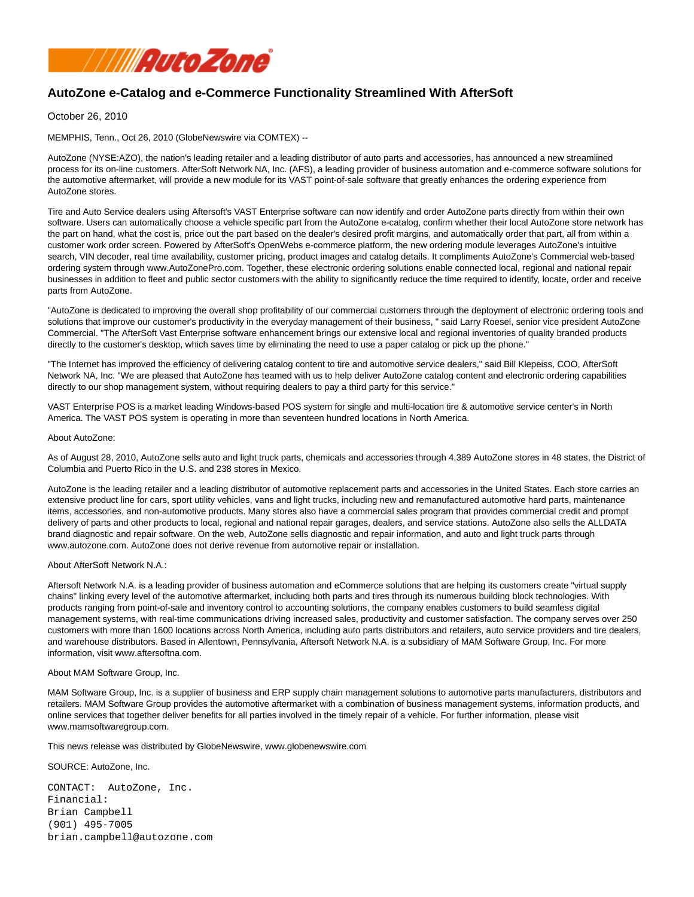

## **AutoZone e-Catalog and e-Commerce Functionality Streamlined With AfterSoft**

October 26, 2010

MEMPHIS, Tenn., Oct 26, 2010 (GlobeNewswire via COMTEX) --

AutoZone (NYSE:AZO), the nation's leading retailer and a leading distributor of auto parts and accessories, has announced a new streamlined process for its on-line customers. AfterSoft Network NA, Inc. (AFS), a leading provider of business automation and e-commerce software solutions for the automotive aftermarket, will provide a new module for its VAST point-of-sale software that greatly enhances the ordering experience from AutoZone stores.

Tire and Auto Service dealers using Aftersoft's VAST Enterprise software can now identify and order AutoZone parts directly from within their own software. Users can automatically choose a vehicle specific part from the AutoZone e-catalog, confirm whether their local AutoZone store network has the part on hand, what the cost is, price out the part based on the dealer's desired profit margins, and automatically order that part, all from within a customer work order screen. Powered by AfterSoft's OpenWebs e-commerce platform, the new ordering module leverages AutoZone's intuitive search, VIN decoder, real time availability, customer pricing, product images and catalog details. It compliments AutoZone's Commercial web-based ordering system through www.AutoZonePro.com. Together, these electronic ordering solutions enable connected local, regional and national repair businesses in addition to fleet and public sector customers with the ability to significantly reduce the time required to identify, locate, order and receive parts from AutoZone.

"AutoZone is dedicated to improving the overall shop profitability of our commercial customers through the deployment of electronic ordering tools and solutions that improve our customer's productivity in the everyday management of their business, " said Larry Roesel, senior vice president AutoZone Commercial. "The AfterSoft Vast Enterprise software enhancement brings our extensive local and regional inventories of quality branded products directly to the customer's desktop, which saves time by eliminating the need to use a paper catalog or pick up the phone."

"The Internet has improved the efficiency of delivering catalog content to tire and automotive service dealers," said Bill Klepeiss, COO, AfterSoft Network NA, Inc. "We are pleased that AutoZone has teamed with us to help deliver AutoZone catalog content and electronic ordering capabilities directly to our shop management system, without requiring dealers to pay a third party for this service."

VAST Enterprise POS is a market leading Windows-based POS system for single and multi-location tire & automotive service center's in North America. The VAST POS system is operating in more than seventeen hundred locations in North America.

## About AutoZone:

As of August 28, 2010, AutoZone sells auto and light truck parts, chemicals and accessories through 4,389 AutoZone stores in 48 states, the District of Columbia and Puerto Rico in the U.S. and 238 stores in Mexico.

AutoZone is the leading retailer and a leading distributor of automotive replacement parts and accessories in the United States. Each store carries an extensive product line for cars, sport utility vehicles, vans and light trucks, including new and remanufactured automotive hard parts, maintenance items, accessories, and non-automotive products. Many stores also have a commercial sales program that provides commercial credit and prompt delivery of parts and other products to local, regional and national repair garages, dealers, and service stations. AutoZone also sells the ALLDATA brand diagnostic and repair software. On the web, AutoZone sells diagnostic and repair information, and auto and light truck parts through www.autozone.com. AutoZone does not derive revenue from automotive repair or installation.

## About AfterSoft Network N.A.:

Aftersoft Network N.A. is a leading provider of business automation and eCommerce solutions that are helping its customers create "virtual supply chains" linking every level of the automotive aftermarket, including both parts and tires through its numerous building block technologies. With products ranging from point-of-sale and inventory control to accounting solutions, the company enables customers to build seamless digital management systems, with real-time communications driving increased sales, productivity and customer satisfaction. The company serves over 250 customers with more than 1600 locations across North America, including auto parts distributors and retailers, auto service providers and tire dealers, and warehouse distributors. Based in Allentown, Pennsylvania, Aftersoft Network N.A. is a subsidiary of MAM Software Group, Inc. For more information, visit www.aftersoftna.com.

## About MAM Software Group, Inc.

MAM Software Group, Inc. is a supplier of business and ERP supply chain management solutions to automotive parts manufacturers, distributors and retailers. MAM Software Group provides the automotive aftermarket with a combination of business management systems, information products, and online services that together deliver benefits for all parties involved in the timely repair of a vehicle. For further information, please visit www.mamsoftwaregroup.com.

This news release was distributed by GlobeNewswire, www.globenewswire.com

SOURCE: AutoZone, Inc.

CONTACT: AutoZone, Inc. Financial: Brian Campbell (901) 495-7005 brian.campbell@autozone.com